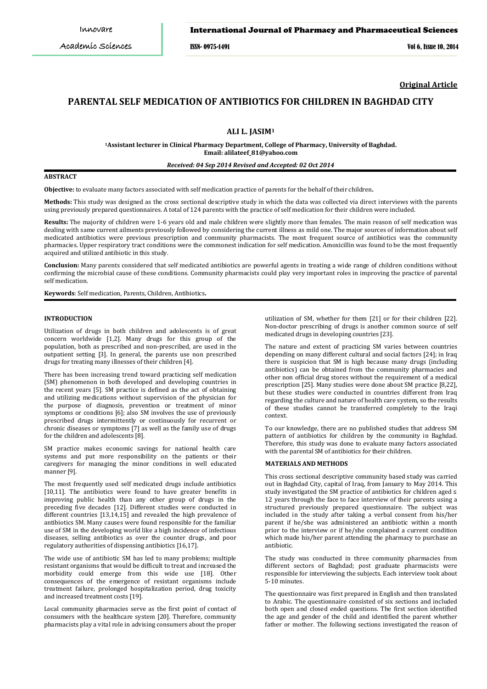### International Journal of Pharmacy and Pharmaceutical Sciences

ISSN- 0975-1491 Vol 6, Issue 10, 2014

**Original Article**

# **PARENTAL SELF MEDICATION OF ANTIBIOTICS FOR CHILDREN IN BAGHDAD CITY**

**ALI L. JASIM1**

**1 Assistant lecturer in Clinical Pharmacy Department, College of Pharmacy, University of Baghdad. Email: alilateef\_81@yahoo.com**

#### *Received: 04 Sep 2014 Revised and Accepted: 02 Oct 2014*

### **ABSTRACT**

**Objective:** to evaluate many factors associated with self medication practice of parents for the behalf of their children**.**

**Methods:** This study was designed as the cross sectional descriptive study in which the data was collected via direct interviews with the parents using previously prepared questionnaires. A total of 124 parents with the practice of self medication for their children were included.

**Results:** The majority of children were 1-6 years old and male children were slightly more than females. The main reason of self medication was dealing with same current ailments previously followed by considering the current illness as mild one. The major sources of information about self medicated antibiotics were previous prescription and community pharmacists. The most frequent source of antibiotics was the community pharmacies. Upper respiratory tract conditions were the commonest indication for self medication. Amoxicillin was found to be the most frequently acquired and utilized antibiotic in this study.

**Conclusion:** Many parents considered that self medicated antibiotics are powerful agents in treating a wide range of children conditions without confirming the microbial cause of these conditions. Community pharmacists could play very important roles in improving the practice of parental self medication.

**Keywords**: Self medication, Parents, Children, Antibiotics**.**

### **INTRODUCTION**

Utilization of drugs in both children and adolescents is of great concern worldwide [1,2]. Many drugs for this group of the population, both as prescribed and non-prescribed, are used in the outpatient setting [3]. In general, the parents use non prescribed drugs for treating many illnesses of their children [4].

There has been increasing trend toward practicing self medication (SM) phenomenon in both developed and developing countries in the recent years [5]. SM practice is defined as the act of obtaining and utilizing medications without supervision of the physician for the purpose of diagnosis, prevention or treatment of minor symptoms or conditions [6]; also SM involves the use of previously prescribed drugs intermittently or continuously for recurrent or chronic diseases or symptoms [7] as well as the family use of drugs for the children and adolescents [8].

SM practice makes economic savings for national health care systems and put more responsibility on the patients or their caregivers for managing the minor conditions in well educated manner [9].

The most frequently used self medicated drugs include antibiotics [10,11]. The antibiotics were found to have greater benefits in improving public health than any other group of drugs in the preceding five decades [12]. Different studies were conducted in different countries  $[13,14,15]$  and revealed the high prevalence of antibiotics SM. Many causes were found responsible for the familiar use of SM in the developing world like a high incidence of infectious diseases, selling antibiotics as over the counter drugs, and poor regulatory authorities of dispensing antibiotics [16,17].

The wide use of antibiotic SM has led to many problems; multiple resistant organisms that would be difficult to treat and increased the morbidity could emerge from this wide use [18]. Other consequences of the emergence of resistant organisms include treatment failure, prolonged hospitalization period, drug toxicity and increased treatment costs [19].

Local community pharmacies serve as the first point of contact of consumers with the healthcare system [20]. Therefore, community pharmacists play a vital role in advising consumers about the proper

utilization of SM, whether for them [21] or for their children [22]. Non-doctor prescribing of drugs is another common source of self medicated drugs in developing countries [23].

The nature and extent of practicing SM varies between countries depending on many different cultural and social factors [24]; in Iraq there is suspicion that SM is high because many drugs (including antibiotics) can be obtained from the community pharmacies and other non official drug stores without the requirement of a medical prescription [25]. Many studies were done about SM practice [8,22], but these studies were conducted in countries different from Iraq regarding the culture and nature of health care system, so the results of these studies cannot be transferred completely to the Iraqi context.

To our knowledge, there are no published studies that address SM pattern of antibiotics for children by the community in Baghdad. Therefore, this study was done to evaluate many factors associated with the parental SM of antibiotics for their children.

#### **MATERIALS AND METHODS**

This cross sectional descriptive community based study was carried out in Baghdad City, capital of Iraq, from January to May 2014. This study investigated the SM practice of antibiotics for children aged ≤ 12 years through the face to face interview of their parents using a structured previously prepared questionnaire. The subject was included in the study after taking a verbal consent from his/her parent if he/she was administered an antibiotic within a month prior to the interview or if he/she complained a current condition which made his/her parent attending the pharmacy to purchase an antibiotic.

The study was conducted in three community pharmacies from different sectors of Baghdad; post graduate pharmacists were responsible for interviewing the subjects. Each interview took about 5-10 minutes.

The questionnaire was first prepared in English and then translated to Arabic. The questionnaire consisted of six sections and included both open and closed ended questions. The first section identified the age and gender of the child and identified the parent whether father or mother. The following sections investigated the reason of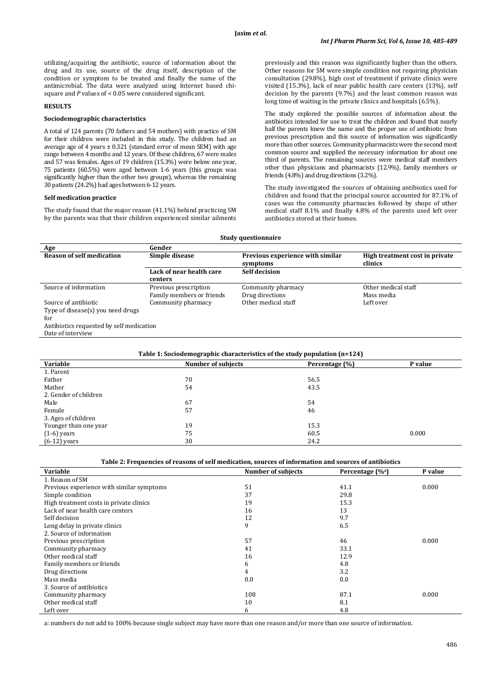utilizing/acquiring the antibiotic, source of information about the drug and its use, source of the drug itself, description of the condition or symptom to be treated and finally the name of the antimicrobial. The data were analyzed using Internet based chisquare and *P* values of < 0.05 were considered significant.

# **RESULTS**

### **Sociodemographic characteristics**

A total of 124 parents (70 fathers and 54 mothers) with practice of SM for their children were included in this study. The children had an average age of 4 years ± 0.321 (standard error of mean SEM) with age range between 4 months and 12 years. Of these children, 67 were males and 57 was females. Ages of 19 children (15.3%) were below one year, 75 patients (60.5%) were aged between 1-6 years (this groups was significantly higher than the other two groups), whereas the remaining 30 patients (24.2%) had ages between 6-12 years.

### **Self medication practice**

The study found that the major reason (41.1%) behind practicing SM by the parents was that their children experienced similar ailments

previously and this reason was significantly higher than the others. Other reasons for SM were simple condition not requiring physician consultation (29.8%), high cost of treatment if private clinics were visited (15.3%), lack of near public health care centers (13%), self decision by the parents (9.7%) and the least common reason was long time of waiting in the private clinics and hospitals (6.5%).

The study explored the possible sources of information about the antibiotics intended for use to treat the children and found that nearly half the parents knew the name and the proper use of antibiotic from previous prescription and this source of information was significantly more than other sources. Community pharmacists were the second most common source and supplied the necessary information for about one third of parents. The remaining sources were medical staff members other than physicians and pharmacists (12.9%), family members or friends (4.8%) and drug directions (3.2%).

The study investigated the sources of obtaining antibiotics used for children and found that the principal source accounted for 87.1% of cases was the community pharmacies followed by shops of other medical staff 8.1% and finally 4.8% of the parents used left over antibiotics stored at their homes.

| <b>Study questionnaire</b>               |                                     |                                              |                                           |  |
|------------------------------------------|-------------------------------------|----------------------------------------------|-------------------------------------------|--|
| Age                                      | Gender                              |                                              |                                           |  |
| <b>Reason of self medication</b>         | Simple disease                      | Previous experience with similar<br>symptoms | High treatment cost in private<br>clinics |  |
|                                          | Lack of near health care<br>centers | <b>Self decision</b>                         |                                           |  |
| Source of information                    | Previous prescription               | Community pharmacy                           | Other medical staff                       |  |
|                                          | Family members or friends           | Drug directions                              | Mass media                                |  |
| Source of antibiotic                     | Community pharmacy                  | Other medical staff                          | Left over                                 |  |
| Type of disease(s) you need drugs        |                                     |                                              |                                           |  |
| for                                      |                                     |                                              |                                           |  |
| Antibiotics requested by self medication |                                     |                                              |                                           |  |
| Date of interview                        |                                     |                                              |                                           |  |
|                                          |                                     |                                              |                                           |  |

| Table 1: Sociodemographic characteristics of the study population $(n=124)$ |                           |                |         |
|-----------------------------------------------------------------------------|---------------------------|----------------|---------|
| Variable                                                                    | <b>Number of subjects</b> | Percentage (%) | P value |
| 1. Parent                                                                   |                           |                |         |
| Father                                                                      | 70                        | 56.5           |         |
| Mather                                                                      | 54                        | 43.5           |         |
| 2. Gender of children                                                       |                           |                |         |
| Male                                                                        | 67                        | 54             |         |
| Female                                                                      | 57                        | 46             |         |
| 3. Ages of children                                                         |                           |                |         |
| Younger than one year                                                       | 19                        | 15.3           |         |
| $(1-6)$ years                                                               | 75                        | 60.5           | 0.000   |
| $(6-12)$ years                                                              | 30                        | 24.2           |         |

# **Table 2: Frequencies of reasons of self medication, sources of information and sources of antibiotics**

| Variable                                  | <b>Number of subjects</b> | Percentage $(\%^a)$ | P value |
|-------------------------------------------|---------------------------|---------------------|---------|
| 1. Reason of SM                           |                           |                     |         |
| Previous experience with similar symptoms | 51                        | 41.1                | 0.000   |
| Simple condition                          | 37                        | 29.8                |         |
| High treatment costs in private clinics   | 19                        | 15.3                |         |
| Lack of near health care centers          | 16                        | 13                  |         |
| Self decision                             | 12                        | 9.7                 |         |
| Long delay in private clinics             | 9                         | 6.5                 |         |
| 2. Source of information                  |                           |                     |         |
| Previous prescription                     | 57                        | 46                  | 0.000   |
| Community pharmacy                        | 41                        | 33.1                |         |
| Other medical staff                       | 16                        | 12.9                |         |
| Family members or friends                 | 6                         | 4.8                 |         |
| Drug directions                           | 4                         | 3.2                 |         |
| Mass media                                | 0.0                       | 0.0                 |         |
| 3. Source of antibiotics                  |                           |                     |         |
| Community pharmacy                        | 108                       | 87.1                | 0.000   |
| Other medical staff                       | 10                        | 8.1                 |         |
| Left over                                 | 6                         | 4.8                 |         |

a: numbers do not add to 100% because single subject may have more than one reason and/or more than one source of information.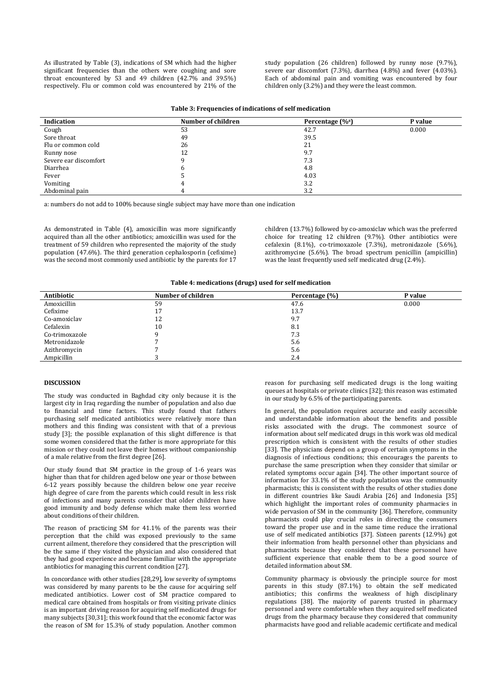As illustrated by Table (3), indications of SM which had the higher significant frequencies than the others were coughing and sore throat encountered by 53 and 49 children (42.7% and 39.5%) respectively. Flu or common cold was encountered by 21% of the study population (26 children) followed by runny nose (9.7%), severe ear discomfort (7.3%), diarrhea (4.8%) and fever (4.03%). Each of abdominal pain and vomiting was encountered by four children only (3.2%) and they were the least common.

| Table 3: Frequencies of indications of self medication |  |  |
|--------------------------------------------------------|--|--|
|--------------------------------------------------------|--|--|

| Indication            | Number of children | Percentage $(\%^a)$ | P value |
|-----------------------|--------------------|---------------------|---------|
| Cough                 | 53                 | 42.7                | 0.000   |
| Sore throat           | 49                 | 39.5                |         |
| Flu or common cold    | 26                 | 21                  |         |
| Runny nose            | 12                 | 9.7                 |         |
| Severe ear discomfort |                    | 7.3                 |         |
| Diarrhea              |                    | 4.8                 |         |
| Fever                 |                    | 4.03                |         |
| Vomiting              |                    | 3.2                 |         |
| Abdominal pain        |                    | 3.2                 |         |

a: numbers do not add to 100% because single subject may have more than one indication

As demonstrated in Table (4), amoxicillin was more significantly acquired than all the other antibiotics; amoxicillin was used for the treatment of 59 children who represented the majority of the study population (47.6%). The third generation cephalosporin (cefixime) was the second most commonly used antibiotic by the parents for 17

children (13.7%) followed by co-amoxiclav which was the preferred choice for treating 12 children (9.7%). Other antibiotics were cefalexin (8.1%), co-trimoxazole (7.3%), metronidazole (5.6%), azithromycine (5.6%). The broad spectrum penicillin (ampicillin) was the least frequently used self medicated drug (2.4%).

**Table 4: medications (drugs) used for self medication**

| Antibiotic     | Number of children | Percentage (%) | P value |
|----------------|--------------------|----------------|---------|
| Amoxicillin    | 59                 | 47.6           | 0.000   |
| Cefixime       |                    | 13.7           |         |
| Co-amoxiclav   | 12                 | 9.7            |         |
| Cefalexin      | 10                 | 8.1            |         |
| Co-trimoxazole |                    | 7.3            |         |
| Metronidazole  |                    | 5.6            |         |
| Azithromycin   |                    | 5.6            |         |
| Ampicillin     |                    | 2.4            |         |
|                |                    |                |         |

#### **DISCUSSION**

The study was conducted in Baghdad city only because it is the largest city in Iraq regarding the number of population and also due to financial and time factors. This study found that fathers purchasing self medicated antibiotics were relatively more than mothers and this finding was consistent with that of a previous study [3]; the possible explanation of this slight difference is that some women considered that the father is more appropriate for this mission or they could not leave their homes without companionship of a male relative from the first degree [26].

Our study found that SM practice in the group of 1-6 years was higher than that for children aged below one year or those between 6-12 years possibly because the children below one year receive high degree of care from the parents which could result in less risk of infections and many parents consider that older children have good immunity and body defense which make them less worried about conditions of their children.

The reason of practicing SM for 41.1% of the parents was their perception that the child was exposed previously to the same current ailment, therefore they considered that the prescription will be the same if they visited the physician and also considered that they had good experience and became familiar with the appropriate antibiotics for managing this current condition [27].

In concordance with other studies [28,29], low severity of symptoms was considered by many parents to be the cause for acquiring self medicated antibiotics. Lower cost of SM practice compared to medical care obtained from hospitals or from visiting private clinics is an important driving reason for acquiring self medicated drugs for many subjects [30,31]; this work found that the economic factor was the reason of SM for 15.3% of study population. Another common reason for purchasing self medicated drugs is the long waiting queues at hospitals or private clinics [32]; this reason was estimated in our study by 6.5% of the participating parents.

In general, the population requires accurate and easily accessible and understandable information about the benefits and possible risks associated with the drugs. The commonest source of information about self medicated drugs in this work was old medical prescription which is consistent with the results of other studies [33]. The physicians depend on a group of certain symptoms in the diagnosis of infectious conditions; this encourages the parents to purchase the same prescription when they consider that similar or related symptoms occur again [34]. The other important source of information for 33.1% of the study population was the community pharmacists; this is consistent with the results of other studies done in different countries like Saudi Arabia [26] and Indonesia [35] which highlight the important roles of community pharmacies in wide pervasion of SM in the community [36]. Therefore, community pharmacists could play crucial roles in directing the consumers toward the proper use and in the same time reduce the irrational use of self medicated antibiotics [37]. Sixteen parents (12.9%) got their information from health personnel other than physicians and pharmacists because they considered that these personnel have sufficient experience that enable them to be a good source of detailed information about SM.

Community pharmacy is obviously the principle source for most parents in this study (87.1%) to obtain the self medicated antibiotics; this confirms the weakness of high disciplinary regulations [38]. The majority of parents trusted in pharmacy personnel and were comfortable when they acquired self medicated drugs from the pharmacy because they considered that community pharmacists have good and reliable academic certificate and medical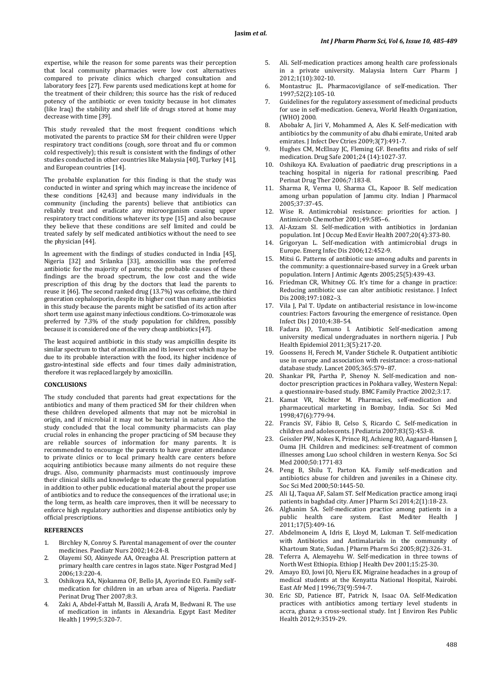expertise, while the reason for some parents was their perception that local community pharmacies were low cost alternatives compared to private clinics which charged consultation and laboratory fees [27]. Few parents used medications kept at home for the treatment of their children; this source has the risk of reduced potency of the antibiotic or even toxicity because in hot climates (like Iraq) the stability and shelf life of drugs stored at home may decrease with time [39].

This study revealed that the most frequent conditions which motivated the parents to practice SM for their children were Upper respiratory tract conditions (cough, sore throat and flu or common cold respectively); this result is consistent with the findings of other studies conducted in other countries like Malaysia [40], Turkey [41], and European countries [14].

The probable explanation for this finding is that the study was conducted in winter and spring which may increase the incidence of these conditions [42,43] and because many individuals in the community (including the parents) believe that antibiotics can reliably treat and eradicate any microorganism causing upper respiratory tract conditions whatever its type [15] and also because they believe that these conditions are self limited and could be treated safely by self medicated antibiotics without the need to see the physician [44].

In agreement with the findings of studies conducted in India [45], Nigeria [32] and Srilanka [33], amoxicillin was the preferred antibiotic for the majority of parents; the probable causes of these findings are the broad spectrum, the low cost and the wide prescription of this drug by the doctors that lead the parents to reuse it [46]. The second ranked drug (13.7%) was cefixime, the third generation cephalosporin, despite its higher cost than many antibiotics in this study because the parents might be satisfied of its action after short term use against many infectious conditions. Co-trimoxazole was preferred by 7.3% of the study population for children, possibly because it is considered one of the very cheap antibiotics [47].

The least acquired antibiotic in this study was ampicillin despite its similar spectrum to that of amoxicillin and its lower cost which may be due to its probable interaction with the food, its higher incidence of gastro-intestinal side effects and four times daily administration, therefore it was replaced largely by amoxicillin.

### **CONCLUSIONS**

The study concluded that parents had great expectations for the antibiotics and many of them practiced SM for their children when these children developed ailments that may not be microbial in origin, and if microbial it may not be bacterial in nature. Also the study concluded that the local community pharmacists can play crucial roles in enhancing the proper practicing of SM because they are reliable sources of information for many parents. It is recommended to encourage the parents to have greater attendance to private clinics or to local primary health care centers before acquiring antibiotics because many ailments do not require these drugs. Also, community pharmacists must continuously improve their clinical skills and knowledge to educate the general population in addition to other public educational material about the proper use of antibiotics and to reduce the consequences of the irrational use; in the long term, as health care improves, then it will be necessary to enforce high regulatory authorities and dispense antibiotics only by official prescriptions.

### **REFERENCES**

- 1. Birchley N, Conroy S. Parental management of over the counter medicines. Paediatr Nurs 2002;14:24-8.
- 2. Olayemi SO, Akinyede AA, Oreagba AI. Prescription pattern at primary health care centres in lagos state. Niger Postgrad Med J 2006;13:220-4.
- 3. Oshikoya KA, Njokanma OF, Bello JA, Ayorinde EO. Family selfmedication for children in an urban area of Nigeria. Paediatr Perinat Drug Ther 2007;8:3.
- Zaki A, Abdel-Fattah M, Bassili A, Arafa M, Bedwani R. The use of medication in infants in Alexandria. Egypt East Mediter Health J 1999;5:320-7.
- 5. Ali. Self-medication practices among health care professionals in a private university. Malaysia Intern Curr Pharm J 2012;1(10):302-10.
- 6. Montastruc JL. Pharmacovigilance of self-medication. Ther 1997;52(2):105-10.
- 7. Guidelines for the regulatory assessment of medicinal products for use in self-medication. Geneva, World Health Organization, (WHO) 2000.
- 8. Abobakr A, Jiri V, Mohammed A, Ales K. Self-medication with antibiotics by the community of abu dhabi emirate, United arab emirates. J Infect Dev Ctries 2009;3(7):491-7.
- 9. Hughes CM, McElnay JC, Fleming GF. Benefits and risks of self medication. Drug Safe 2001;24 (14):1027-37.
- 10. Oshikoya KA. Evaluation of paediatric drug prescriptions in a teaching hospital in nigeria for rational prescribing. Paed Perinat Drug Ther 2006;7:183-8.
- 11. Sharma R, Verma U, Sharma CL, Kapoor B. Self medication among urban population of Jammu city. Indian J Pharmacol 2005;37:37-45.
- 12. Wise R. Antimicrobial resistance: priorities for action. J Antimicrob Chemother 2001;49:585–6.
- 13. Al-Azzam SI. Self-medication with antibiotics in Jordanian population. Int J Occup Med Envir Health 2007;20(4):373-80.
- Grigoryan L. Self-medication with antimicrobial drugs in Europe. Emerg Infec Dis 2006;12:452-9.
- 15. Mitsi G. Patterns of antibiotic use among adults and parents in the community: a questionnaire-based survey in a Greek urban population. Intern J Antimic Agents 2005;25(5):439-43.
- Friedman CR, Whitney CG. It's time for a change in practice: Reducing antibiotic use can alter antibiotic resistance. J Infect Dis 2008;197:1082–3.
- 17. Vila J, Pal T. Update on antibacterial resistance in low-income countries: Factors favouring the emergence of resistance. Open Infect Dis J 2010;4:38–54.
- 18. Fadara JO, Tamuno I. Antibiotic Self-medication among university medical undergraduates in northern nigeria. J Pub Health Epidemiol 2011;3(5):217-20.
- 19. Goossens H, Ferech M, Vander Stichele R. Outpatient antibiotic use in europe and association with resistance: a cross-national database study. Lancet 2005;365:579–87.
- 20. Shankar PR, Partha P, Shenoy N. Self-medication and nondoctor prescription practices in Pokhara valley, Western Nepal: a questionnaire-based study. BMC Family Practice 2002;3:17.
- 21. Kamat VR, Nichter M. Pharmacies, self-medication and pharmaceutical marketing in Bombay, India. Soc Sci Med 1998;47(6):779-94.
- 22. Francis SV, Fábio B, Celso S, Ricardo C. Self-medication in children and adolescents. J Pediatria 2007;83(5):453-8.
- 23. Geissler PW, Nokes K, Prince RJ, Achieng RO, Aagaard-Hansen J, Ouma JH. Children and medicines: self-treatment of common illnesses among Luo school children in western Kenya. Soc Sci Med 2000;50:1771-83
- 24. Peng B, Shilu T, Parton KA. Family self-medication and antibiotics abuse for children and juveniles in a Chinese city. Soc Sci Med 2000;50:1445-50.
- *25.* Ali LJ, Taqua AF, Salam ST. Self Medication practice among iraqi patients in baghdad city. Amer J Pharm Sci 2014;2(1):18-23.
- 26. Alghanim SA. Self-medication practice among patients in a public health care system. East Mediter Health J 2011;17(5):409-16.
- 27. Abdelmoneim A, Idris E, Lloyd M, Lukman T. Self-medication with Antibiotics and Antimalarials in the community of Khartoum State, Sudan. J Pharm Pharm Sci 2005;8(2):326-31.
- 28. Teferra A, Alemayehu W. Self-medication in three towns of North West Ethiopia. Ethiop J Health Dev 2001;15:25-30.
- 29. Amayo EO, Jowi JO, Njeru EK. Migraine headaches in a group of medical students at the Kenyatta National Hospital, Nairobi. East Afr Med J 1996;73(9):594-7.
- 30. Eric SD, Patience BT, Patrick N, Isaac OA. Self-Medication practices with antibiotics among tertiary level students in accra, ghana: a cross-sectional study. Int J Environ Res Public Health 2012;9:3519-29.